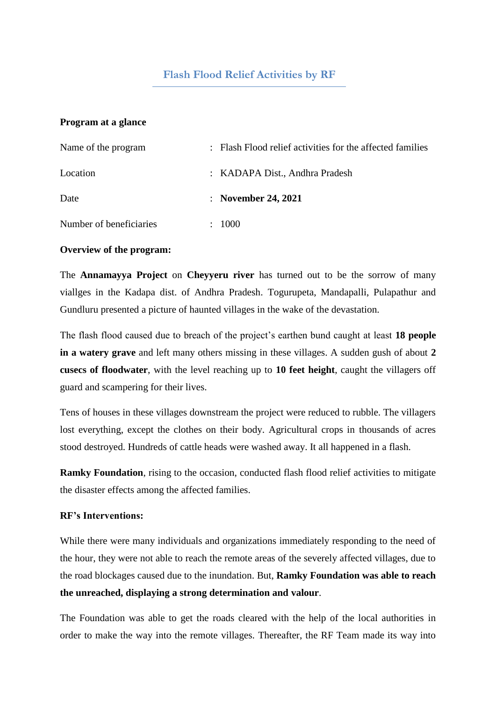# **Flash Flood Relief Activities by RF**

## **Program at a glance**

| Name of the program     |        | : Flash Flood relief activities for the affected families |
|-------------------------|--------|-----------------------------------------------------------|
| Location                |        | : KADAPA Dist., Andhra Pradesh                            |
| Date                    |        | : November 24, $2021$                                     |
| Number of beneficiaries | $\sim$ | 1000                                                      |

#### **Overview of the program:**

The **Annamayya Project** on **Cheyyeru river** has turned out to be the sorrow of many viallges in the Kadapa dist. of Andhra Pradesh. Togurupeta, Mandapalli, Pulapathur and Gundluru presented a picture of haunted villages in the wake of the devastation.

The flash flood caused due to breach of the project's earthen bund caught at least **18 people in a watery grave** and left many others missing in these villages. A sudden gush of about **2 cusecs of floodwater**, with the level reaching up to **10 feet height**, caught the villagers off guard and scampering for their lives.

Tens of houses in these villages downstream the project were reduced to rubble. The villagers lost everything, except the clothes on their body. Agricultural crops in thousands of acres stood destroyed. Hundreds of cattle heads were washed away. It all happened in a flash.

**Ramky Foundation**, rising to the occasion, conducted flash flood relief activities to mitigate the disaster effects among the affected families.

## **RF's Interventions:**

While there were many individuals and organizations immediately responding to the need of the hour, they were not able to reach the remote areas of the severely affected villages, due to the road blockages caused due to the inundation. But, **Ramky Foundation was able to reach the unreached, displaying a strong determination and valour**.

The Foundation was able to get the roads cleared with the help of the local authorities in order to make the way into the remote villages. Thereafter, the RF Team made its way into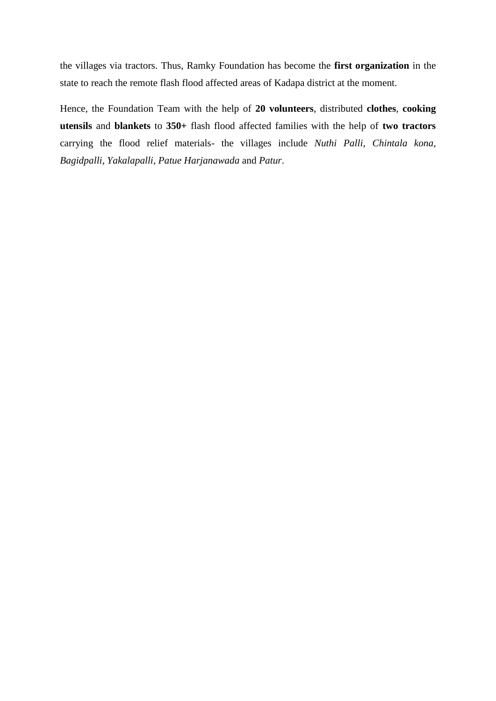the villages via tractors. Thus, Ramky Foundation has become the **first organization** in the state to reach the remote flash flood affected areas of Kadapa district at the moment.

Hence, the Foundation Team with the help of **20 volunteers**, distributed **clothes**, **cooking utensils** and **blankets** to **350+** flash flood affected families with the help of **two tractors** carrying the flood relief materials- the villages include *Nuthi Palli*, *Chintala kona*, *Bagidpalli*, *Yakalapalli*, *Patue Harjanawada* and *Patur*.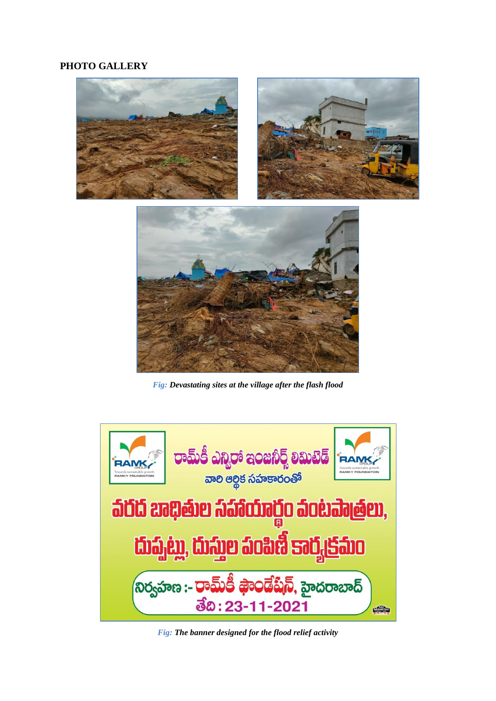# **PHOTO GALLERY**



*Fig: Devastating sites at the village after the flash flood*



*Fig: The banner designed for the flood relief activity*